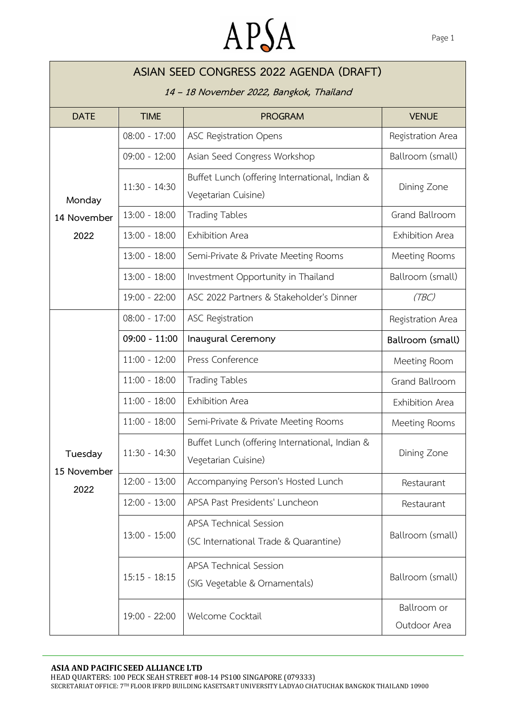## APSA

| ASIAN SEED CONGRESS 2022 AGENDA (DRAFT)                                                                  |                 |                                                                       |                   |  |  |  |
|----------------------------------------------------------------------------------------------------------|-----------------|-----------------------------------------------------------------------|-------------------|--|--|--|
| 14 - 18 November 2022, Bangkok, Thailand<br><b>DATE</b><br><b>TIME</b><br><b>PROGRAM</b><br><b>VENUE</b> |                 |                                                                       |                   |  |  |  |
|                                                                                                          |                 |                                                                       |                   |  |  |  |
|                                                                                                          | $08:00 - 17:00$ | <b>ASC Registration Opens</b>                                         | Registration Area |  |  |  |
|                                                                                                          | $09:00 - 12:00$ | Asian Seed Congress Workshop                                          | Ballroom (small)  |  |  |  |
|                                                                                                          | $11:30 - 14:30$ | Buffet Lunch (offering International, Indian &                        | Dining Zone       |  |  |  |
| Monday                                                                                                   |                 | Vegetarian Cuisine)                                                   |                   |  |  |  |
| 14 November                                                                                              | $13:00 - 18:00$ | <b>Trading Tables</b>                                                 | Grand Ballroom    |  |  |  |
| 2022                                                                                                     | $13:00 - 18:00$ | Exhibition Area                                                       | Exhibition Area   |  |  |  |
|                                                                                                          | $13:00 - 18:00$ | Semi-Private & Private Meeting Rooms                                  | Meeting Rooms     |  |  |  |
|                                                                                                          | $13:00 - 18:00$ | Investment Opportunity in Thailand                                    | Ballroom (small)  |  |  |  |
|                                                                                                          | $19:00 - 22:00$ | ASC 2022 Partners & Stakeholder's Dinner                              | (TBC)             |  |  |  |
|                                                                                                          | $08:00 - 17:00$ | <b>ASC Registration</b>                                               | Registration Area |  |  |  |
|                                                                                                          | $09:00 - 11:00$ | Inaugural Ceremony                                                    | Ballroom (small)  |  |  |  |
|                                                                                                          | $11:00 - 12:00$ | Press Conference                                                      | Meeting Room      |  |  |  |
|                                                                                                          | $11:00 - 18:00$ | <b>Trading Tables</b>                                                 | Grand Ballroom    |  |  |  |
|                                                                                                          | $11:00 - 18:00$ | Exhibition Area                                                       | Exhibition Area   |  |  |  |
|                                                                                                          | $11:00 - 18:00$ | Semi-Private & Private Meeting Rooms                                  | Meeting Rooms     |  |  |  |
| Tuesday<br>15 November<br>2022                                                                           | $11:30 - 14:30$ | Buffet Lunch (offering International, Indian &<br>Vegetarian Cuisine) | Dining Zone       |  |  |  |
|                                                                                                          | $12:00 - 13:00$ | Accompanying Person's Hosted Lunch                                    | Restaurant        |  |  |  |
|                                                                                                          | $12:00 - 13:00$ | APSA Past Presidents' Luncheon                                        | Restaurant        |  |  |  |
|                                                                                                          | $13:00 - 15:00$ | <b>APSA Technical Session</b>                                         | Ballroom (small)  |  |  |  |
|                                                                                                          |                 | (SC International Trade & Quarantine)                                 |                   |  |  |  |
|                                                                                                          | $15:15 - 18:15$ | <b>APSA Technical Session</b>                                         | Ballroom (small)  |  |  |  |
|                                                                                                          |                 | (SIG Vegetable & Ornamentals)                                         |                   |  |  |  |
|                                                                                                          | 19:00 - 22:00   | Welcome Cocktail                                                      | Ballroom or       |  |  |  |
|                                                                                                          |                 |                                                                       | Outdoor Area      |  |  |  |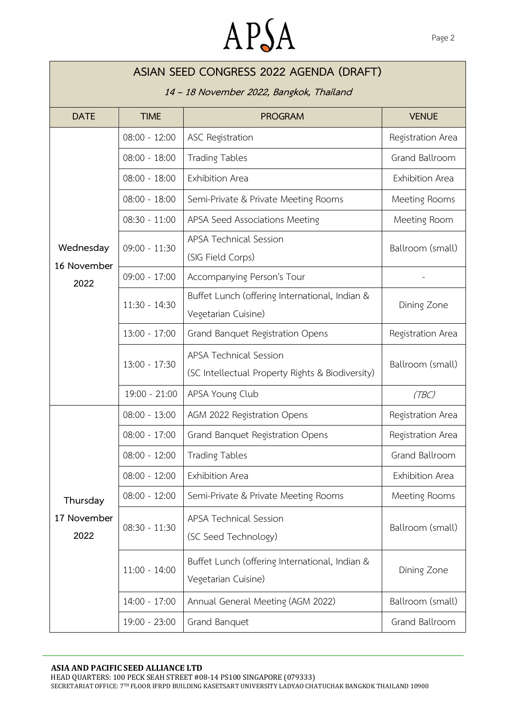## APSA

| ASIAN SEED CONGRESS 2022 AGENDA (DRAFT)  |                 |                                                                                   |                        |  |  |  |
|------------------------------------------|-----------------|-----------------------------------------------------------------------------------|------------------------|--|--|--|
| 14 - 18 November 2022, Bangkok, Thailand |                 |                                                                                   |                        |  |  |  |
| <b>DATE</b>                              | <b>TIME</b>     | <b>PROGRAM</b>                                                                    | <b>VENUE</b>           |  |  |  |
| Wednesday<br>16 November                 | $08:00 - 12:00$ | <b>ASC Registration</b>                                                           | Registration Area      |  |  |  |
|                                          | $08:00 - 18:00$ | <b>Trading Tables</b>                                                             | <b>Grand Ballroom</b>  |  |  |  |
|                                          | $08:00 - 18:00$ | Exhibition Area                                                                   | <b>Exhibition Area</b> |  |  |  |
|                                          | $08:00 - 18:00$ | Semi-Private & Private Meeting Rooms                                              | Meeting Rooms          |  |  |  |
|                                          | $08:30 - 11:00$ | APSA Seed Associations Meeting                                                    | Meeting Room           |  |  |  |
|                                          | $09:00 - 11:30$ | <b>APSA Technical Session</b><br>(SIG Field Corps)                                | Ballroom (small)       |  |  |  |
| 2022                                     | $09:00 - 17:00$ | Accompanying Person's Tour                                                        |                        |  |  |  |
|                                          | $11:30 - 14:30$ | Buffet Lunch (offering International, Indian &<br>Vegetarian Cuisine)             | Dining Zone            |  |  |  |
|                                          | $13:00 - 17:00$ | Grand Banquet Registration Opens                                                  | Registration Area      |  |  |  |
|                                          | $13:00 - 17:30$ | <b>APSA Technical Session</b><br>(SC Intellectual Property Rights & Biodiversity) | Ballroom (small)       |  |  |  |
|                                          | $19:00 - 21:00$ | APSA Young Club                                                                   | (TBC)                  |  |  |  |
|                                          | $08:00 - 13:00$ | AGM 2022 Registration Opens                                                       | Registration Area      |  |  |  |
|                                          | $08:00 - 17:00$ | Grand Banquet Registration Opens                                                  | Registration Area      |  |  |  |
|                                          | $08:00 - 12:00$ | <b>Trading Tables</b>                                                             | Grand Ballroom         |  |  |  |
|                                          | $08:00 - 12:00$ | Exhibition Area                                                                   | <b>Exhibition Area</b> |  |  |  |
| Thursday                                 | $08:00 - 12:00$ | Semi-Private & Private Meeting Rooms                                              | Meeting Rooms          |  |  |  |
| 17 November<br>2022                      | $08:30 - 11:30$ | <b>APSA Technical Session</b><br>(SC Seed Technology)                             | Ballroom (small)       |  |  |  |
|                                          | $11:00 - 14:00$ | Buffet Lunch (offering International, Indian &<br>Vegetarian Cuisine)             | Dining Zone            |  |  |  |
|                                          | $14:00 - 17:00$ | Annual General Meeting (AGM 2022)                                                 | Ballroom (small)       |  |  |  |
|                                          | 19:00 - 23:00   | Grand Banquet                                                                     | Grand Ballroom         |  |  |  |